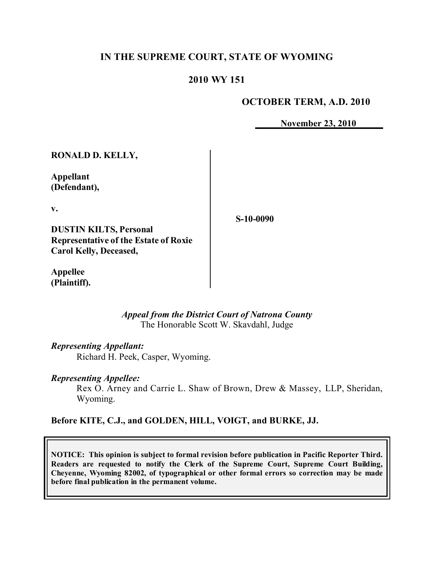# **IN THE SUPREME COURT, STATE OF WYOMING**

## **2010 WY 151**

## **OCTOBER TERM, A.D. 2010**

**November 23, 2010**

| <b>RONALD D. KELLY,</b>                      |           |
|----------------------------------------------|-----------|
| Appellant<br>(Defendant),                    |           |
| $\mathbf{V}$ .                               | S-10-0090 |
| <b>DUSTIN KILTS, Personal</b>                |           |
| <b>Representative of the Estate of Roxie</b> |           |
| <b>Carol Kelly, Deceased,</b>                |           |

**Appellee (Plaintiff).**

> *Appeal from the District Court of Natrona County* The Honorable Scott W. Skavdahl, Judge

*Representing Appellant:*

Richard H. Peek, Casper, Wyoming.

*Representing Appellee:*

Rex O. Arney and Carrie L. Shaw of Brown, Drew & Massey, LLP, Sheridan, Wyoming.

**Before KITE, C.J., and GOLDEN, HILL, VOIGT, and BURKE, JJ.**

**NOTICE: This opinion is subject to formal revision before publication in Pacific Reporter Third. Readers are requested to notify the Clerk of the Supreme Court, Supreme Court Building, Cheyenne, Wyoming 82002, of typographical or other formal errors so correction may be made before final publication in the permanent volume.**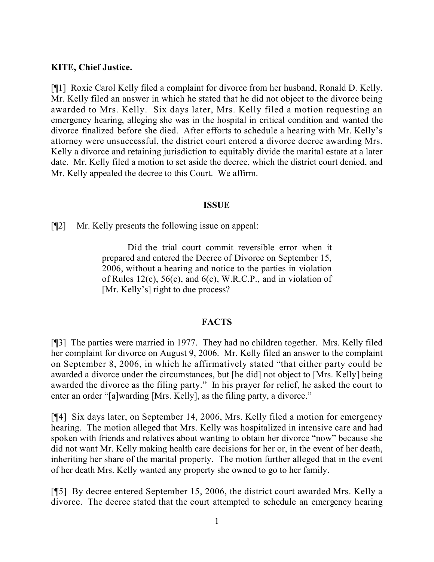### **KITE, Chief Justice.**

[¶1] Roxie Carol Kelly filed a complaint for divorce from her husband, Ronald D. Kelly. Mr. Kelly filed an answer in which he stated that he did not object to the divorce being awarded to Mrs. Kelly. Six days later, Mrs. Kelly filed a motion requesting an emergency hearing, alleging she was in the hospital in critical condition and wanted the divorce finalized before she died. After efforts to schedule a hearing with Mr. Kelly's attorney were unsuccessful, the district court entered a divorce decree awarding Mrs. Kelly a divorce and retaining jurisdiction to equitably divide the marital estate at a later date. Mr. Kelly filed a motion to set aside the decree, which the district court denied, and Mr. Kelly appealed the decree to this Court. We affirm.

#### **ISSUE**

[¶2] Mr. Kelly presents the following issue on appeal:

Did the trial court commit reversible error when it prepared and entered the Decree of Divorce on September 15, 2006, without a hearing and notice to the parties in violation of Rules 12(c), 56(c), and 6(c), W.R.C.P., and in violation of [Mr. Kelly's] right to due process?

### **FACTS**

[¶3] The parties were married in 1977. They had no children together. Mrs. Kelly filed her complaint for divorce on August 9, 2006. Mr. Kelly filed an answer to the complaint on September 8, 2006, in which he affirmatively stated "that either party could be awarded a divorce under the circumstances, but [he did] not object to [Mrs. Kelly] being awarded the divorce as the filing party." In his prayer for relief, he asked the court to enter an order "[a]warding [Mrs. Kelly], as the filing party, a divorce."

[¶4] Six days later, on September 14, 2006, Mrs. Kelly filed a motion for emergency hearing. The motion alleged that Mrs. Kelly was hospitalized in intensive care and had spoken with friends and relatives about wanting to obtain her divorce "now" because she did not want Mr. Kelly making health care decisions for her or, in the event of her death, inheriting her share of the marital property. The motion further alleged that in the event of her death Mrs. Kelly wanted any property she owned to go to her family.

[¶5] By decree entered September 15, 2006, the district court awarded Mrs. Kelly a divorce. The decree stated that the court attempted to schedule an emergency hearing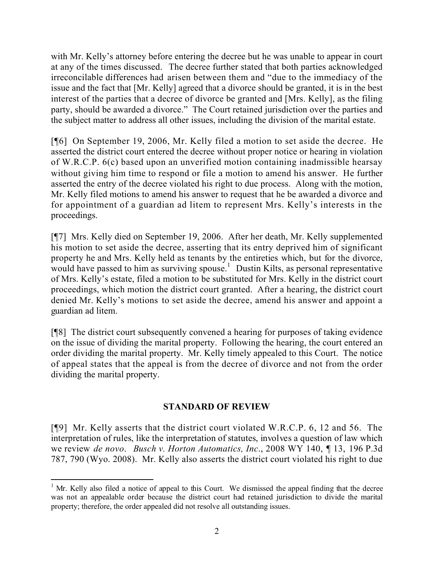with Mr. Kelly's attorney before entering the decree but he was unable to appear in court at any of the times discussed. The decree further stated that both parties acknowledged irreconcilable differences had arisen between them and "due to the immediacy of the issue and the fact that [Mr. Kelly] agreed that a divorce should be granted, it is in the best interest of the parties that a decree of divorce be granted and [Mrs. Kelly], as the filing party, should be awarded a divorce." The Court retained jurisdiction over the parties and the subject matter to address all other issues, including the division of the marital estate.

[¶6] On September 19, 2006, Mr. Kelly filed a motion to set aside the decree. He asserted the district court entered the decree without proper notice or hearing in violation of W.R.C.P. 6(c) based upon an unverified motion containing inadmissible hearsay without giving him time to respond or file a motion to amend his answer. He further asserted the entry of the decree violated his right to due process. Along with the motion, Mr. Kelly filed motions to amend his answer to request that he be awarded a divorce and for appointment of a guardian ad litem to represent Mrs. Kelly's interests in the proceedings.

[¶7] Mrs. Kelly died on September 19, 2006. After her death, Mr. Kelly supplemented his motion to set aside the decree, asserting that its entry deprived him of significant property he and Mrs. Kelly held as tenants by the entireties which, but for the divorce, would have passed to him as surviving spouse.<sup>1</sup> Dustin Kilts, as personal representative of Mrs. Kelly's estate, filed a motion to be substituted for Mrs. Kelly in the district court proceedings, which motion the district court granted. After a hearing, the district court denied Mr. Kelly's motions to set aside the decree, amend his answer and appoint a guardian ad litem.

[¶8] The district court subsequently convened a hearing for purposes of taking evidence on the issue of dividing the marital property. Following the hearing, the court entered an order dividing the marital property. Mr. Kelly timely appealed to this Court. The notice of appeal states that the appeal is from the decree of divorce and not from the order dividing the marital property.

## **STANDARD OF REVIEW**

[¶9] Mr. Kelly asserts that the district court violated W.R.C.P. 6, 12 and 56. The interpretation of rules, like the interpretation of statutes, involves a question of law which we review *de novo*. *Busch v. Horton Automatics, Inc*., 2008 WY 140, ¶ 13, 196 P.3d 787, 790 (Wyo. 2008). Mr. Kelly also asserts the district court violated his right to due

  $<sup>1</sup>$  Mr. Kelly also filed a notice of appeal to this Court. We dismissed the appeal finding that the decree</sup> was not an appealable order because the district court had retained jurisdiction to divide the marital property; therefore, the order appealed did not resolve all outstanding issues.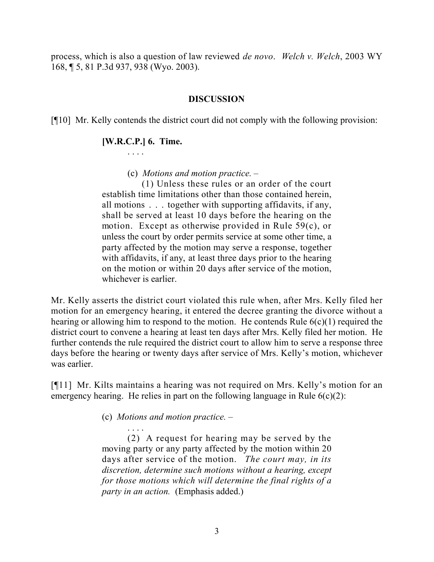process, which is also a question of law reviewed *de novo*. *Welch v. Welch*, 2003 WY 168, ¶ 5, 81 P.3d 937, 938 (Wyo. 2003).

### **DISCUSSION**

[¶10] Mr. Kelly contends the district court did not comply with the following provision:

## **[W.R.C.P.] 6. Time.**

. . . .

(c) *Motions and motion practice. –*

 (1) Unless these rules or an order of the court establish time limitations other than those contained herein, all motions . . . together with supporting affidavits, if any, shall be served at least 10 days before the hearing on the motion. Except as otherwise provided in Rule 59(c), or unless the court by order permits service at some other time, a party affected by the motion may serve a response, together with affidavits, if any, at least three days prior to the hearing on the motion or within 20 days after service of the motion, whichever is earlier.

Mr. Kelly asserts the district court violated this rule when, after Mrs. Kelly filed her motion for an emergency hearing, it entered the decree granting the divorce without a hearing or allowing him to respond to the motion. He contends Rule  $6(c)(1)$  required the district court to convene a hearing at least ten days after Mrs. Kelly filed her motion. He further contends the rule required the district court to allow him to serve a response three days before the hearing or twenty days after service of Mrs. Kelly's motion, whichever was earlier.

[¶11] Mr. Kilts maintains a hearing was not required on Mrs. Kelly's motion for an emergency hearing. He relies in part on the following language in Rule  $6(c)(2)$ :

(c) *Motions and motion practice. –*

. . . . (2) A request for hearing may be served by the moving party or any party affected by the motion within 20 days after service of the motion. *The court may, in its discretion, determine such motions without a hearing, except for those motions which will determine the final rights of a party in an action.* (Emphasis added.)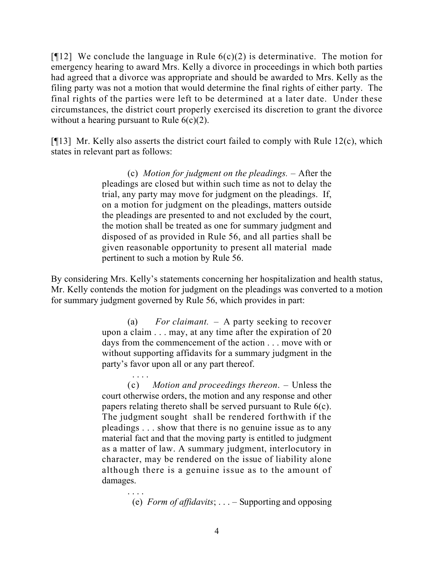[ $[12]$ ] We conclude the language in Rule  $6(c)(2)$  is determinative. The motion for emergency hearing to award Mrs. Kelly a divorce in proceedings in which both parties had agreed that a divorce was appropriate and should be awarded to Mrs. Kelly as the filing party was not a motion that would determine the final rights of either party. The final rights of the parties were left to be determined at a later date. Under these circumstances, the district court properly exercised its discretion to grant the divorce without a hearing pursuant to Rule  $6(c)(2)$ .

[ $[$ [13] Mr. Kelly also asserts the district court failed to comply with Rule 12(c), which states in relevant part as follows:

> (c) *Motion for judgment on the pleadings.* – After the pleadings are closed but within such time as not to delay the trial, any party may move for judgment on the pleadings. If, on a motion for judgment on the pleadings, matters outside the pleadings are presented to and not excluded by the court, the motion shall be treated as one for summary judgment and disposed of as provided in Rule 56, and all parties shall be given reasonable opportunity to present all material made pertinent to such a motion by Rule 56.

By considering Mrs. Kelly's statements concerning her hospitalization and health status, Mr. Kelly contends the motion for judgment on the pleadings was converted to a motion for summary judgment governed by Rule 56, which provides in part:

> (a) *For claimant.* – A party seeking to recover upon a claim . . . may, at any time after the expiration of 20 days from the commencement of the action . . . move with or without supporting affidavits for a summary judgment in the party's favor upon all or any part thereof.

> > . . . .

(c) *Motion and proceedings thereon*. – Unless the court otherwise orders, the motion and any response and other papers relating thereto shall be served pursuant to Rule 6(c). The judgment sought shall be rendered forthwith if the pleadings . . . show that there is no genuine issue as to any material fact and that the moving party is entitled to judgment as a matter of law. A summary judgment, interlocutory in character, may be rendered on the issue of liability alone although there is a genuine issue as to the amount of damages.

 . . . . (e) *Form of affidavits*; . . . – Supporting and opposing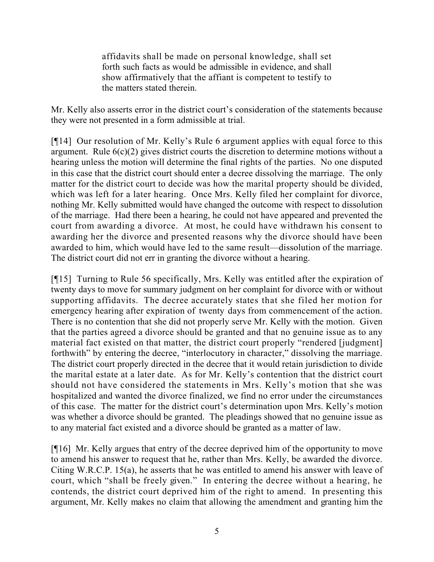affidavits shall be made on personal knowledge, shall set forth such facts as would be admissible in evidence, and shall show affirmatively that the affiant is competent to testify to the matters stated therein.

Mr. Kelly also asserts error in the district court's consideration of the statements because they were not presented in a form admissible at trial.

[¶14] Our resolution of Mr. Kelly's Rule 6 argument applies with equal force to this argument. Rule  $6(c)(2)$  gives district courts the discretion to determine motions without a hearing unless the motion will determine the final rights of the parties. No one disputed in this case that the district court should enter a decree dissolving the marriage. The only matter for the district court to decide was how the marital property should be divided, which was left for a later hearing. Once Mrs. Kelly filed her complaint for divorce, nothing Mr. Kelly submitted would have changed the outcome with respect to dissolution of the marriage. Had there been a hearing, he could not have appeared and prevented the court from awarding a divorce. At most, he could have withdrawn his consent to awarding her the divorce and presented reasons why the divorce should have been awarded to him, which would have led to the same result—dissolution of the marriage. The district court did not err in granting the divorce without a hearing.

[¶15] Turning to Rule 56 specifically, Mrs. Kelly was entitled after the expiration of twenty days to move for summary judgment on her complaint for divorce with or without supporting affidavits. The decree accurately states that she filed her motion for emergency hearing after expiration of twenty days from commencement of the action. There is no contention that she did not properly serve Mr. Kelly with the motion. Given that the parties agreed a divorce should be granted and that no genuine issue as to any material fact existed on that matter, the district court properly "rendered [judgment] forthwith" by entering the decree, "interlocutory in character," dissolving the marriage. The district court properly directed in the decree that it would retain jurisdiction to divide the marital estate at a later date. As for Mr. Kelly's contention that the district court should not have considered the statements in Mrs. Kelly's motion that she was hospitalized and wanted the divorce finalized, we find no error under the circumstances of this case. The matter for the district court's determination upon Mrs. Kelly's motion was whether a divorce should be granted. The pleadings showed that no genuine issue as to any material fact existed and a divorce should be granted as a matter of law.

[¶16] Mr. Kelly argues that entry of the decree deprived him of the opportunity to move to amend his answer to request that he, rather than Mrs. Kelly, be awarded the divorce. Citing W.R.C.P. 15(a), he asserts that he was entitled to amend his answer with leave of court, which "shall be freely given." In entering the decree without a hearing, he contends, the district court deprived him of the right to amend. In presenting this argument, Mr. Kelly makes no claim that allowing the amendment and granting him the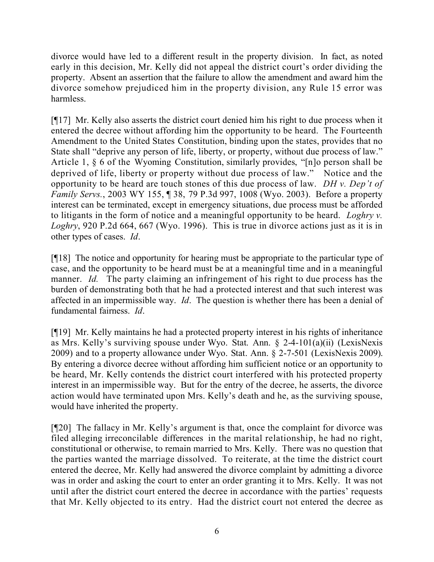divorce would have led to a different result in the property division. In fact, as noted early in this decision, Mr. Kelly did not appeal the district court's order dividing the property. Absent an assertion that the failure to allow the amendment and award him the divorce somehow prejudiced him in the property division, any Rule 15 error was harmless.

[¶17] Mr. Kelly also asserts the district court denied him his right to due process when it entered the decree without affording him the opportunity to be heard. The Fourteenth Amendment to the United States Constitution, binding upon the states, provides that no State shall "deprive any person of life, liberty, or property, without due process of law." Article 1, § 6 of the Wyoming Constitution, similarly provides, "[n]o person shall be deprived of life, liberty or property without due process of law." Notice and the opportunity to be heard are touch stones of this due process of law. *DH v. Dep't of Family Servs.*, 2003 WY 155, ¶ 38, 79 P.3d 997, 1008 (Wyo. 2003). Before a property interest can be terminated, except in emergency situations, due process must be afforded to litigants in the form of notice and a meaningful opportunity to be heard. *Loghry v. Loghry*, 920 P.2d 664, 667 (Wyo. 1996). This is true in divorce actions just as it is in other types of cases. *Id*.

[¶18] The notice and opportunity for hearing must be appropriate to the particular type of case, and the opportunity to be heard must be at a meaningful time and in a meaningful manner. *Id.* The party claiming an infringement of his right to due process has the burden of demonstrating both that he had a protected interest and that such interest was affected in an impermissible way. *Id*. The question is whether there has been a denial of fundamental fairness. *Id*.

[¶19] Mr. Kelly maintains he had a protected property interest in his rights of inheritance as Mrs. Kelly's surviving spouse under Wyo. Stat. Ann. § 2-4-101(a)(ii) (LexisNexis 2009) and to a property allowance under Wyo. Stat. Ann. § 2-7-501 (LexisNexis 2009). By entering a divorce decree without affording him sufficient notice or an opportunity to be heard, Mr. Kelly contends the district court interfered with his protected property interest in an impermissible way. But for the entry of the decree, he asserts, the divorce action would have terminated upon Mrs. Kelly's death and he, as the surviving spouse, would have inherited the property.

[¶20] The fallacy in Mr. Kelly's argument is that, once the complaint for divorce was filed alleging irreconcilable differences in the marital relationship, he had no right, constitutional or otherwise, to remain married to Mrs. Kelly. There was no question that the parties wanted the marriage dissolved. To reiterate, at the time the district court entered the decree, Mr. Kelly had answered the divorce complaint by admitting a divorce was in order and asking the court to enter an order granting it to Mrs. Kelly. It was not until after the district court entered the decree in accordance with the parties' requests that Mr. Kelly objected to its entry. Had the district court not entered the decree as